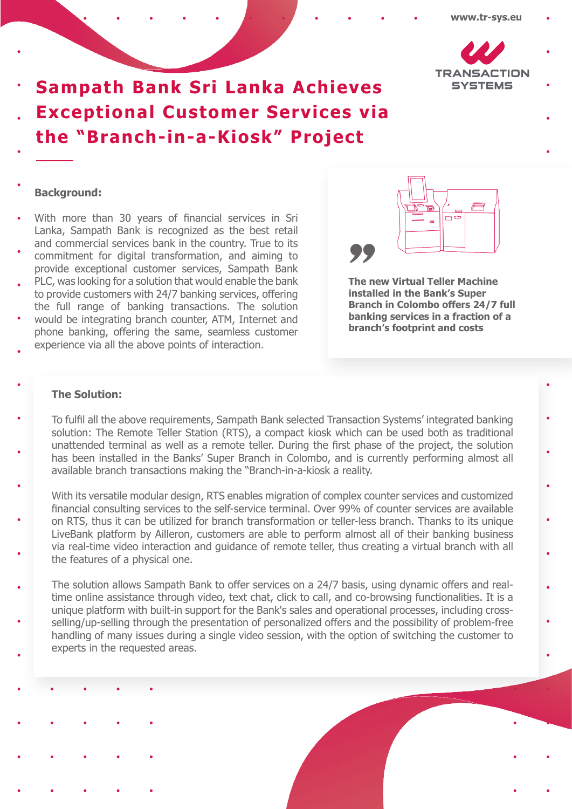

# **Sampath Bank Sri Lanka Achieves Exceptional Customer Services via the "Branch-in-a-Kiosk" Project**

# **Background:**

- With more than 30 years of financial services in Sri Lanka, Sampath Bank is recognized as the best retail and commercial services bank in the country. True to its
- commitment for digital transformation, and aiming to provide exceptional customer services, Sampath Bank
- PLC, was looking for a solution that would enable the bank to provide customers with 24/7 banking services, offering the full range of banking transactions. The solution
- would be integrating branch counter, ATM, Internet and phone banking, offering the same, seamless customer
- experience via all the above points of interaction.



**The new Virtual Teller Machine installed in the Bank's Super Branch in Colombo offers 24/7 full banking services in a fraction of a branch's footprint and costs** <sup>99</sup><br>The n<br>instal<br>Branchanki

# **The Solution:**

- To fulfil all the above requirements, Sampath Bank selected Transaction Systems' integrated banking solution: The Remote Teller Station (RTS), a compact kiosk which can be used both as traditional unattended terminal as well as a remote teller. During the first phase of the project, the solution has been installed in the Banks' Super Branch in Colombo, and is currently performing almost all available branch transactions making the "Branch-in-a-kiosk a reality.
- With its versatile modular design, RTS enables migration of complex counter services and customized financial consulting services to the self-service terminal. Over 99% of counter services are available on RTS, thus it can be utilized for branch transformation or teller-less branch. Thanks to its unique LiveBank platform by Ailleron, customers are able to perform almost all of their banking business via real-time video interaction and guidance of remote teller, thus creating a virtual branch with all the features of a physical one.
- The solution allows Sampath Bank to offer services on a 24/7 basis, using dynamic offers and realtime online assistance through video, text chat, click to call, and co-browsing functionalities. It is a unique platform with built-in support for the Bank's sales and operational processes, including crossselling/up-selling through the presentation of personalized offers and the possibility of problem-free handling of many issues during a single video session, with the option of switching the customer to experts in the requested areas.